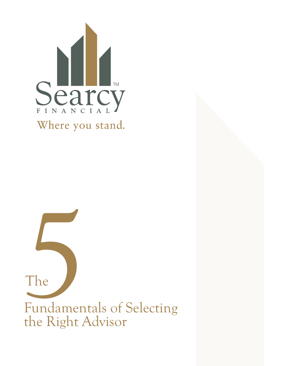

The<br>
The<br>
Fundamentals of<br>
the Right Advise Fundamentals of Selecting the Right Advisor The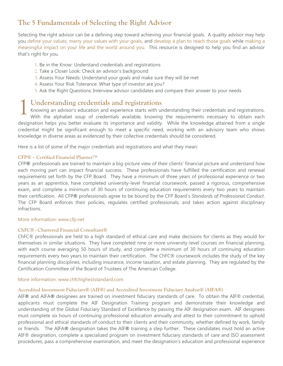# **The 5 Fundamentals of Selecting the Right Advisor**

Selecting the right advisor can be a defining step toward achieving your financial goals. A quality advisor may help you define your values, marry your values with your goals, and develop a plan to reach those goals while making a meaningful impact on your life and the world around you. This resource is designed to help you find an advisor that's right for you.

- 1. Be in the Know: Understand credentials and registrations
- 2. Take a Closer Look: Check an advisor's background
- 3. Assess Your Needs: Understand your goals and make sure they will be met
- 4. Assess Your Risk Tolerance: What type of investor are you?
- 5. Ask the Right Questions: Interview advisor candidates and compare their answer to your needs

## **Understanding credentials and registrations**

Knowing an advisor's education and experience starts with understanding their credentials and registrations. With the alphabet soup of credentials available, knowing the requirements necessary to obtain each designation helps you better evaluate its importance and validity. While the knowledge attained from a single credential might be significant enough to meet a specific need, working with an advisory team who shows knowledge in diverse areas as evidenced by their collective credentials should be considered. 1

Here is a list of some of the major credentials and registrations and what they mean:

#### **CFP® – Certified Financial Planner™**

CFP**®** professionals are trained to maintain a big-picture view of their clients' financial picture and understand how each moving part can impact financial success. These professionals have fulfilled the certification and renewal requirements set forth by the CFP Board. They have a minimum of three years of professional experience or two years as an apprentice, have completed university-level financial coursework, passed a rigorous, comprehensive exam, and complete a minimum of 30 hours of continuing education requirements every two years to maintain their certification. All CFP**®** professionals agree to be bound by the CFP Board's *Standards of Professional Conduct*. The CFP Board enforces their policies, regulates certified professionals, and takes action against disciplinary infractions.

#### More information: www.cfp.net

#### **ChFC® - Chartered Financial Consultant®**

ChFC® professionals are held to a high standard of ethical care and make decisions for clients as they would for themselves in similar situations. They have completed nine or more university-level courses on financial planning, with each course averaging 50 hours of study, and complete a minimum of 30 hours of continuing education requirements every two years to maintain their certification. The ChFC® coursework includes the study of the key financial planning disciplines, including insurance, income taxation, and estate planning. They are regulated by the Certification Committee of the Board of Trustees of The American College.

#### More information: [www.chfchigheststandard.com](http://www.chfchigheststandard.com)

## **Accredited Investment Fiduciary® (AIF®) and Accredited Investment Fiduciary Analyst® (AIFA®)**

AIF**®** and AIFA**®** designees are trained on investment fiduciary standards of care. To obtain the AIF® credential, applicants must complete the AIF Designation Training program and demonstrate their knowledge and understanding of the Global Fiduciary Standard of Excellence by passing the AIF designation exam. AIF designees must complete six hours of continuing professional education annually and attest to their commitment to uphold professional and ethical standards of conduct to their clients and their community, whether defined by work, family or friends. The AIFA**®** designation takes the AIF**®** training a step further. These candidates must hold an active AIF® designation, complete a specialized program on investment fiduciary standards of care and ISO assessment procedures, pass a comprehensive examination, and meet the designation's education and professional experience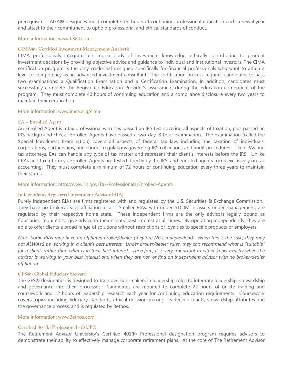prerequisites. AIFA**®** designees must complete ten hours of continuing professional education each renewal year and attest to their commitment to uphold professional and ethical standards of conduct.

#### More information: [www.fi360.com](http://www.fi360.com)

#### **CIMA® - Certified Investment Management Analyst®**

CIMA professionals integrate a complex body of investment knowledge, ethically contributing to prudent investment decisions by providing objective advice and guidance to individual and institutional investors. The CIMA certification program is the only credential designed specifically for financial professionals who want to attain a level of competency as an advanced investment consultant. The certification process requires candidates to pass two examinations: a Qualification Examination and a Certification Examination. In addition, candidates must successfully complete the Registered Education Provider's assessment during the education component of the program. They must complete 40 hours of continuing education and a compliance disclosure every two years to maintain their certification.

#### More information: www.imca.org/cima

#### **EA – Enrolled Agent**

An Enrolled Agent is a tax professional who has passed an IRS test covering all aspects of taxation, plus passed an IRS background check. Enrolled Agents have passed a two-day, 8-hour examination. The examination (called the Special Enrollment Examination) covers all aspects of federal tax law, including the taxation of individuals, corporations, partnerships, and various regulations governing IRS collections and audit procedures. Like CPAs and tax attorneys, EAs can handle any type of tax matter and represent their client's interests before the IRS. Unlike CPAs and tax attorneys, Enrolled Agents are tested directly by the IRS, and enrolled agents focus exclusively on tax accounting. They must complete a minimum of 72 hours of continuing education every three years to maintain their status.

#### More information: <http://www.irs.gov/Tax-Professionals/Enrolled-Agents>

#### **Independent, Registered Investment Advisor (RIA)**

Purely independent RIAs are firms registered with and regulated by the U.S. Securities & Exchange Commission. They have no broker/dealer affiliation at all. Smaller RIAs, with under \$100M in assets under management, are regulated by their respective home state. These independent firms are the only advisors legally bound as fiduciaries, required to give advice in their clients' best interest at all times. By operating independently, they are able to offer clients a broad range of solutions without restrictions or loyalties to specific products or employers.

*Note: Some RIAs may have an affiliated broker/dealer (they are NOT independent). When this is the case, they may not ALWAYS be working in a client's best interest. Under broker/dealer rules, they can recommend what is "suitable" for a client, rather than what is in their best interest. Therefore, it is very important to either know exactly when the advisor is working in your best interest and when they are not, or find an independent advisor with no broker/dealer affiliation.*

#### **GFS® - Global Fiduciary Steward**

The GFS**®** designation is designed to train decision-makers in leadership roles to integrate leadership, stewardship and governance into their processes. Candidates are required to complete 22 hours of onsite training and coursework and 12 hours of leadership research each year for continuing education requirements. Coursework covers topics including fiduciary standards, ethical decision-making, leadership tenets, stewardship attributes and the governance process, and is regulated by 3ethos.

#### More information: www.3ethos.com

#### **Certified 401(k) Professional - C(k)P®**

The Retirement Advisor University's Certified 401(k) Professional designation program requires advisors to demonstrate their ability to effectively manage corporate retirement plans. At the core of The Retirement Advisor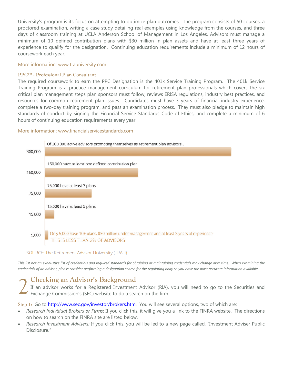University's program is its focus on attempting to optimize plan outcomes. The program consists of 50 courses, a proctored examination, writing a case study detailing real examples using knowledge from the courses, and three days of classroom training at UCLA Anderson School of Management in Los Angeles. Advisors must manage a minimum of 10 defined contribution plans with \$30 million in plan assets and have at least three years of experience to qualify for the designation. Continuing education requirements include a minimum of 12 hours of coursework each year.

#### More information: [www.trauniversity.com](http://www.trauniversity.com)

#### **PPC™ - Professional Plan Consultant**

The required coursework to earn the PPC Designation is the 401k Service Training Program. The 401k Service Training Program is a practice management curriculum for retirement plan professionals which covers the six critical plan management steps plan sponsors must follow, reviews ERISA regulations, industry best practices, and resources for common retirement plan issues. Candidates must have 3 years of financial industry experience, complete a two-day training program, and pass an examination process. They must also pledge to maintain high standards of conduct by signing the Financial Service Standards Code of Ethics, and complete a minimum of 6 hours of continuing education requirements every year.

#### More information: [www.financialservicestandards.com](http://www.financialservicestandards.com)



#### SOURCE: The Retirement Advisor University (TRAU)

This list not an exhaustive list of credentials and required standards for obtaining or maintaining credentials may change over time. When examining the *credentials of an advisor, please consider performing a designation search for the regulating body so you have the most accurate information available.* 

# **Checking an Advisor's Background**

If an advisor works for a Registered Investment Advisor (RIA), you will need to go to the Securities and Exchange Commission's (SEC) website to do a search on the firm. 2

Step 1: Go to **http://www.sec.gov/investor/brokers.htm**. You will see several options, two of which are:

- *Research Individual Brokers or Firms*: If you click this, it will give you a link to the FINRA website. The directions on how to search on the FINRA site are listed below.
- *Research Investment Advisers:* If you click this, you will be led to a new page called, "Investment Adviser Public Disclosure."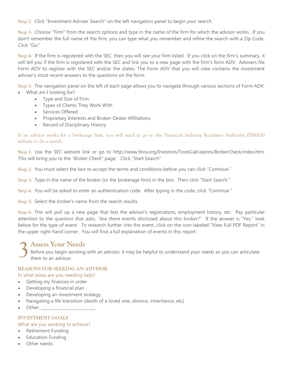**Step 2**: Click "Investment Adviser Search" on the left navigation panel to begin your search.

**Step 3**: Choose "Firm" from the search options and type in the name of the firm for which the advisor works. If you don't remember the full name of the firm, you can type what you remember and refine the search with a Zip Code. Click "Go."

**Step 4**: If the firm is registered with the SEC, then you will see your firm listed. If you click on the firm's summary, it will tell you if the firm is registered with the SEC and link you to a new page with the firm's form ADV. Advisers file Form ADV to register with the SEC and/or the states. The Form ADV that you will view contains the investment adviser's most recent answers to the questions on the form.

**Step 5**: The navigation panel on the left of each page allows you to navigate through various sections of Form ADV.

- What am I looking for?
	- Type and Size of Firm Types of Clients They Work With
	- Services Offered
	- Proprietary Interests and Broker-Dealer Affiliations
	- Record of Disciplinary History

If an advisor works for a brokerage firm, you will need to go to the Financial Industry Regulator Authority (FINRA) website to do a search.

**Step 1**: Use the SEC website link or go to [http://www.finra.org/Investors/ToolsCalculators/BrokerCheck/index.htm.](http://www.finra.org/Investors/ToolsCalculators/BrokerCheck/index.htm) This will bring you to the "*Broker Check*" page. Click "Start Search"

**Step 2**: You must select the box to accept the terms and conditions before you can click "Continue."

**Step 3**: Type in the name of the broker (or the brokerage firm) in the box. Then click "Start Search."

**Step 4**: You will be asked to enter an authentication code. After typing in the code, click "Continue."

**Step 5**: Select the broker's name from the search results.

**Step 6**: This will pull up a new page that lists the advisor's registrations, employment history, etc. Pay particular attention to the question that asks, "Are there events disclosed about this broker?" If the answer is "Yes," look below for the type of event. To research further into the event, click on the icon labeled "View Full PDF Report" in the upper right-hand corner. You will find a full explanation of events in this report.

# **Assess Your Needs** 3

Before you begin working with an advisor, it may be helpful to understand your needs so you can articulate them to an advisor.

## **REASONS FOR SEEKING AN ADVISOR**

#### In what areas are you needing help?

- **•** Getting my finances in order
- Developing a financial plan
- Developing an investment strategy
- Navigating a life transition (death of a loved one, divorce, inheritance, etc)
- Other:

## **INVESTMENT GOALS**

## What are you working to achieve?

- Retirement Funding
- Education Funding
- Other needs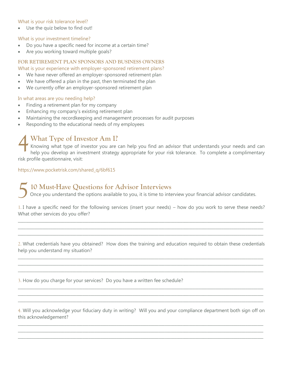#### What is your risk tolerance level?

Use the quiz below to find out!

#### What is your investment timeline?

- Do you have a specific need for income at a certain time?
- Are you working toward multiple goals?

## **FOR RETIREMENT PLAN SPONSORS AND BUSINESS OWNERS**

What is your experience with employer-sponsored retirement plans?

- We have never offered an employer-sponsored retirement plan
- We have offered a plan in the past, then terminated the plan
- We currently offer an employer-sponsored retirement plan

#### In what areas are you needing help?

- Finding a retirement plan for my company
- Enhancing my company's existing retirement plan
- Maintaining the recordkeeping and management processes for audit purposes
- Responding to the educational needs of my employees

# **What Type of Investor Am I?**

Knowing what type of investor you are can help you find an advisor that understands your needs and can help you develop an investment strategy appropriate for your risk tolerance. To complete a complimentary risk profile questionnaire, visit: 4

[https://www.pocketrisk.com/shared\\_q/6bf615](https://www.pocketrisk.com/shared_q/6bf615)

**10 Must-Have Questions for Advisor Interviews** Once you understand the options available to you, it is time to interview your financial advisor candidates. 5

1. I have a specific need for the following services (insert your needs) – how do you work to serve these needs? What other services do you offer?

 $\_$  , and the set of the set of the set of the set of the set of the set of the set of the set of the set of the set of the set of the set of the set of the set of the set of the set of the set of the set of the set of th  $\_$  , and the set of the set of the set of the set of the set of the set of the set of the set of the set of the set of the set of the set of the set of the set of the set of the set of the set of the set of the set of th  $\_$  , and the set of the set of the set of the set of the set of the set of the set of the set of the set of the set of the set of the set of the set of the set of the set of the set of the set of the set of the set of th

2. What credentials have you obtained? How does the training and education required to obtain these credentials help you understand my situation?

 $\_$  , and the set of the set of the set of the set of the set of the set of the set of the set of the set of the set of the set of the set of the set of the set of the set of the set of the set of the set of the set of th  $\_$  , and the set of the set of the set of the set of the set of the set of the set of the set of the set of the set of the set of the set of the set of the set of the set of the set of the set of the set of the set of th  $\_$  , and the set of the set of the set of the set of the set of the set of the set of the set of the set of the set of the set of the set of the set of the set of the set of the set of the set of the set of the set of th

3. How do you charge for your services? Do you have a written fee schedule?

4. Will you acknowledge your fiduciary duty in writing? Will you and your compliance department both sign off on this acknowledgement?

 $\_$  , and the set of the set of the set of the set of the set of the set of the set of the set of the set of the set of the set of the set of the set of the set of the set of the set of the set of the set of the set of th  $\_$  , and the set of the set of the set of the set of the set of the set of the set of the set of the set of the set of the set of the set of the set of the set of the set of the set of the set of the set of the set of th  $\_$  , and the set of the set of the set of the set of the set of the set of the set of the set of the set of the set of the set of the set of the set of the set of the set of the set of the set of the set of the set of th

 $\_$  ,  $\_$  ,  $\_$  ,  $\_$  ,  $\_$  ,  $\_$  ,  $\_$  ,  $\_$  ,  $\_$  ,  $\_$  ,  $\_$  ,  $\_$  ,  $\_$  ,  $\_$  ,  $\_$  ,  $\_$  ,  $\_$  ,  $\_$  ,  $\_$  ,  $\_$  ,  $\_$  ,  $\_$  ,  $\_$  ,  $\_$  ,  $\_$  ,  $\_$  ,  $\_$  ,  $\_$  ,  $\_$  ,  $\_$  ,  $\_$  ,  $\_$  ,  $\_$  ,  $\_$  ,  $\_$  ,  $\_$  ,  $\_$  ,  $\_$  , and the set of the set of the set of the set of the set of the set of the set of the set of the set of the set of the set of the set of the set of the set of the set of the set of the set of the set of the set of th  $\_$  , and the set of the set of the set of the set of the set of the set of the set of the set of the set of the set of the set of the set of the set of the set of the set of the set of the set of the set of the set of th